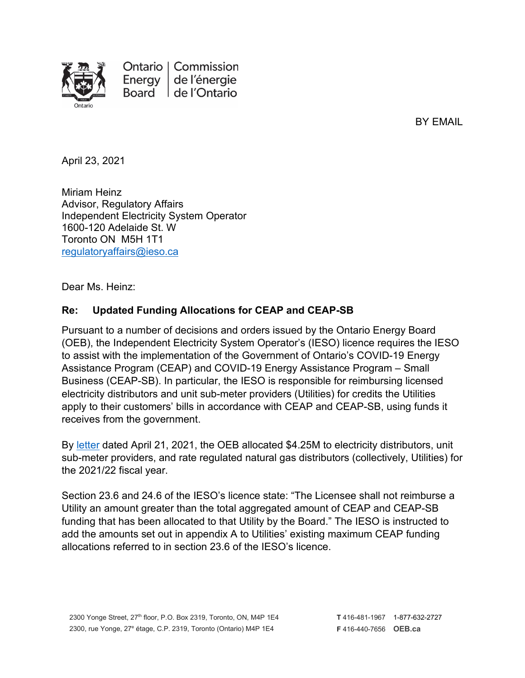

Ontario | Commission Energy de l'énergie Board de l'Ontario

BY EMAIL

April 23, 2021

Miriam Heinz Advisor, Regulatory Affairs Independent Electricity System Operator 1600-120 Adelaide St. W Toronto ON M5H 1T1 [regulatoryaffairs@ieso.ca](mailto:regulatoryaffairs@ieso.ca)

Dear Ms. Heinz:

### **Re: Updated Funding Allocations for CEAP and CEAP-SB**

Pursuant to a number of decisions and orders issued by the Ontario Energy Board (OEB), the Independent Electricity System Operator's (IESO) licence requires the IESO to assist with the implementation of the Government of Ontario's COVID-19 Energy Assistance Program (CEAP) and COVID-19 Energy Assistance Program – Small Business (CEAP-SB). In particular, the IESO is responsible for reimbursing licensed electricity distributors and unit sub-meter providers (Utilities) for credits the Utilities apply to their customers' bills in accordance with CEAP and CEAP-SB, using funds it receives from the government.

By [letter](https://www.oeb.ca/sites/default/files/oebltr-ceap-allocations-20210421.pdf) dated April 21, 2021, the OEB allocated \$4.25M to electricity distributors, unit sub-meter providers, and rate regulated natural gas distributors (collectively, Utilities) for the 2021/22 fiscal year.

Section 23.6 and 24.6 of the IESO's licence state: "The Licensee shall not reimburse a Utility an amount greater than the total aggregated amount of CEAP and CEAP-SB funding that has been allocated to that Utility by the Board." The IESO is instructed to add the amounts set out in appendix A to Utilities' existing maximum CEAP funding allocations referred to in section 23.6 of the IESO's licence.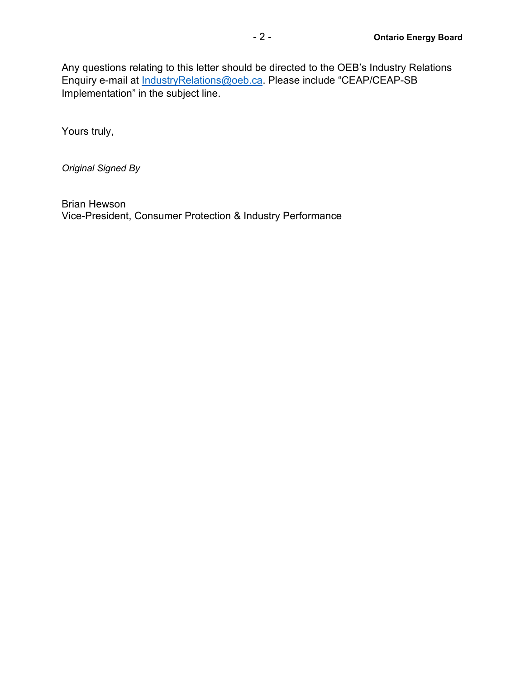Any questions relating to this letter should be directed to the OEB's Industry Relations Enquiry e-mail at [IndustryRelations@oeb.ca.](mailto:IndustryRelations@oeb.ca) Please include "CEAP/CEAP-SB Implementation" in the subject line.

Yours truly,

*Original Signed By*

Brian Hewson Vice-President, Consumer Protection & Industry Performance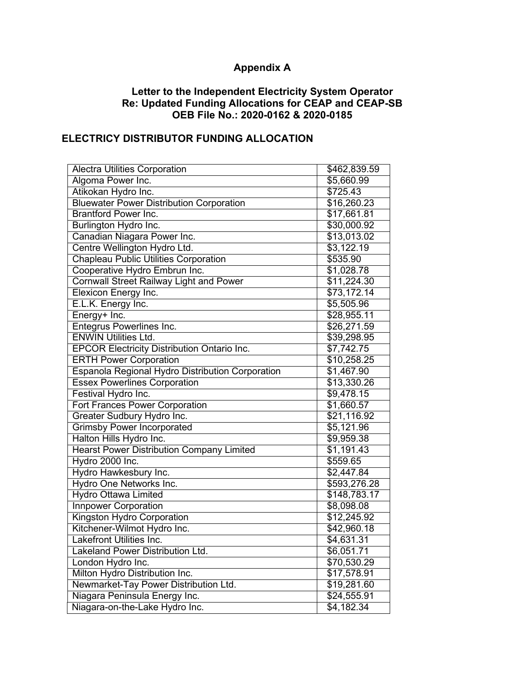# **Appendix A**

#### **Letter to the Independent Electricity System Operator Re: Updated Funding Allocations for CEAP and CEAP-SB OEB File No.: 2020-0162 & 2020-0185**

# **ELECTRICY DISTRIBUTOR FUNDING ALLOCATION**

| <b>Alectra Utilities Corporation</b>               | \$462,839.59           |
|----------------------------------------------------|------------------------|
| Algoma Power Inc.                                  | \$5,660.99             |
| Atikokan Hydro Inc.                                | \$725.43               |
| <b>Bluewater Power Distribution Corporation</b>    | \$16,260.23            |
| <b>Brantford Power Inc.</b>                        | \$17,661.81            |
| Burlington Hydro Inc.                              | \$30,000.92            |
| Canadian Niagara Power Inc.                        | \$13,013.02            |
| Centre Wellington Hydro Ltd.                       | \$3,122.19             |
| <b>Chapleau Public Utilities Corporation</b>       | \$535.90               |
| Cooperative Hydro Embrun Inc.                      | \$1,028.78             |
| <b>Cornwall Street Railway Light and Power</b>     | \$11,224.30            |
| Elexicon Energy Inc.                               | \$73,172.14            |
| E.L.K. Energy Inc.                                 | \$5,505.96             |
| Energy+ Inc.                                       | \$28,955.11            |
| <b>Entegrus Powerlines Inc.</b>                    | \$26,271.59            |
| <b>ENWIN Utilities Ltd.</b>                        | \$39,298.95            |
| <b>EPCOR Electricity Distribution Ontario Inc.</b> | \$7,742.75             |
| <b>ERTH Power Corporation</b>                      | \$10,258.25            |
| Espanola Regional Hydro Distribution Corporation   | \$1,467.90             |
| <b>Essex Powerlines Corporation</b>                | \$13,330.26            |
| Festival Hydro Inc.                                | \$9,478.15             |
| <b>Fort Frances Power Corporation</b>              | $\overline{$1,660.57}$ |
| Greater Sudbury Hydro Inc.                         | \$21,116.92            |
| <b>Grimsby Power Incorporated</b>                  | \$5,121.96             |
| Halton Hills Hydro Inc.                            | \$9,959.38             |
| <b>Hearst Power Distribution Company Limited</b>   | \$1,191.43             |
| Hydro 2000 Inc.                                    | \$559.65               |
| Hydro Hawkesbury Inc.                              | \$2,447.84             |
| Hydro One Networks Inc.                            | \$593,276.28           |
| <b>Hydro Ottawa Limited</b>                        | \$148,783.17           |
| <b>Innpower Corporation</b>                        | \$8,098.08             |
| Kingston Hydro Corporation                         | \$12,245.92            |
| Kitchener-Wilmot Hydro Inc.                        | \$42,960.18            |
| <b>Lakefront Utilities Inc.</b>                    | \$4,631.31             |
| Lakeland Power Distribution Ltd.                   | \$6,051.71             |
| London Hydro Inc.                                  | \$70,530.29            |
| Milton Hydro Distribution Inc.                     | \$17,578.91            |
| Newmarket-Tay Power Distribution Ltd.              | \$19,281.60            |
| Niagara Peninsula Energy Inc.                      | \$24,555.91            |
| Niagara-on-the-Lake Hydro Inc.                     | \$4,182.34             |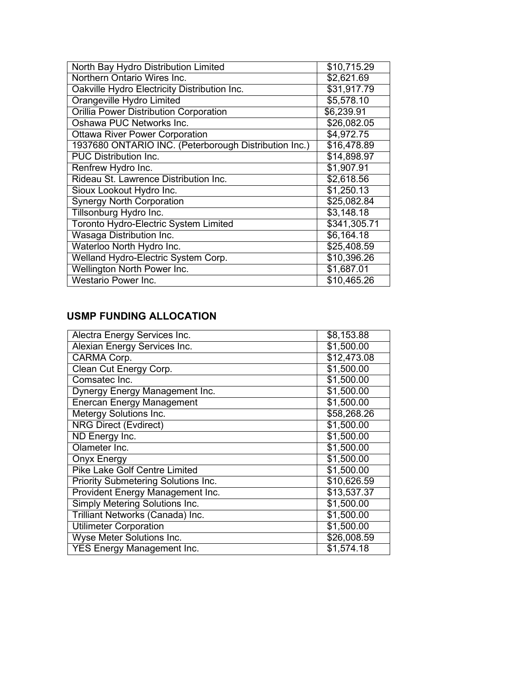| North Bay Hydro Distribution Limited                  | \$10,715.29  |
|-------------------------------------------------------|--------------|
| Northern Ontario Wires Inc.                           | \$2,621.69   |
| Oakville Hydro Electricity Distribution Inc.          | \$31,917.79  |
| <b>Orangeville Hydro Limited</b>                      | \$5,578.10   |
| <b>Orillia Power Distribution Corporation</b>         | \$6,239.91   |
| Oshawa PUC Networks Inc.                              | \$26,082.05  |
| <b>Ottawa River Power Corporation</b>                 | \$4,972.75   |
| 1937680 ONTARIO INC. (Peterborough Distribution Inc.) | \$16,478.89  |
| <b>PUC Distribution Inc.</b>                          | \$14,898.97  |
| Renfrew Hydro Inc.                                    | \$1,907.91   |
| Rideau St. Lawrence Distribution Inc.                 | \$2,618.56   |
| Sioux Lookout Hydro Inc.                              | \$1,250.13   |
| <b>Synergy North Corporation</b>                      | \$25,082.84  |
| Tillsonburg Hydro Inc.                                | \$3,148.18   |
| <b>Toronto Hydro-Electric System Limited</b>          | \$341,305.71 |
| <b>Wasaga Distribution Inc.</b>                       | \$6,164.18   |
| Waterloo North Hydro Inc.                             | \$25,408.59  |
| Welland Hydro-Electric System Corp.                   | \$10,396.26  |
| Wellington North Power Inc.                           | \$1,687.01   |
| Westario Power Inc.                                   | \$10,465.26  |

### **USMP FUNDING ALLOCATION**

| Alectra Energy Services Inc.               | \$8,153.88  |
|--------------------------------------------|-------------|
| Alexian Energy Services Inc.               | \$1,500.00  |
| CARMA Corp.                                | \$12,473.08 |
| Clean Cut Energy Corp.                     | \$1,500.00  |
| Comsatec Inc.                              | \$1,500.00  |
| Dynergy Energy Management Inc.             | \$1,500.00  |
| <b>Enercan Energy Management</b>           | \$1,500.00  |
| Metergy Solutions Inc.                     | \$58,268.26 |
| <b>NRG Direct (Evdirect)</b>               | \$1,500.00  |
| ND Energy Inc.                             | \$1,500.00  |
| Olameter Inc.                              | \$1,500.00  |
| <b>Onyx Energy</b>                         | \$1,500.00  |
| <b>Pike Lake Golf Centre Limited</b>       | \$1,500.00  |
| <b>Priority Submetering Solutions Inc.</b> | \$10,626.59 |
| Provident Energy Management Inc.           | \$13,537.37 |
| <b>Simply Metering Solutions Inc.</b>      | \$1,500.00  |
| Trilliant Networks (Canada) Inc.           | \$1,500.00  |
| <b>Utilimeter Corporation</b>              | \$1,500.00  |
| <b>Wyse Meter Solutions Inc.</b>           | \$26,008.59 |
| <b>YES Energy Management Inc.</b>          | \$1,574.18  |